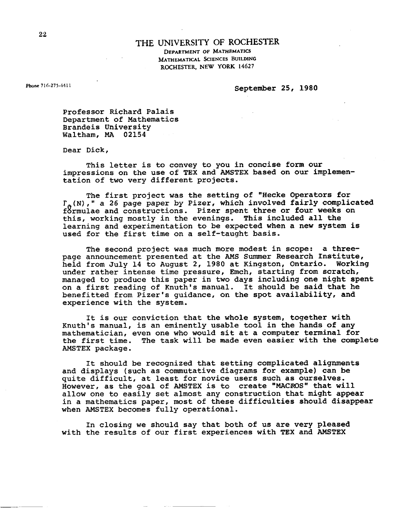## **THE UNIVERSITY** OF **ROCHESTER**

**DEPARTMENT OF MATHEMATICS MATHEMATICAL SCIENCES BUILDING ROCHESTER, NEW YORK 14627** 

**Phone 716.275441** 1

**September 25, 1980** 

**Professor Richard Palais Department of Mathematics Brandeis University Waltham, MA 02154** 

**Dear Dick,** 

**This letter is to convey to you in concise form our impressions on the use of TEX and AMSTEX based on our implementation of two very different projects.** 

**The first project was the setting of "Hecke Operators for l' (N)," a 26 page paper by Pizer, which involved fairly complicated**  formulae and constructions. Pizer spent three or four weeks on **this, working mostly in the evenings, This included all the learning and experimentation to be expected when a new system is used for the first time on a self-taught basis.** 

**The second project was much more modest in scope: a threepage announcement presented at the AMS Summer Research Institute, held from July 14 to August 2, 1980 at Kingston, Ontario. Working**  under rather intense time pressure, Emch, starting from scratch, **managed to produce this paper in two days including one night spent on a first reading of Knuth's manual. It should be said that he benefitted from Pizer's guidance, on the spot availability, and experience with the system.** 

**It is our conviction that the whole system, together with Knuth's manual, is an eminently usable tool in the hands of any mathematician, even one who would sit at a computer terminal for the first time. The task will be made even easier with the complete AMSTEX package.** 

**It should be recognized that setting complicated alignments and displays (such as commutative diagrams for example) can be quite difficult, at least for novice users such as ourselves,**  However, as the goal of AMSTEX is to create "MACROS" that will **allow one to easily set almost any construction that might appear in a mathematics paper, most of these difficulties should disappear when AMSTEX becomes fully operational,** 

**In closing we should say that both of us are very pleased with the results of our first experiences with TEX and AMSTEX**